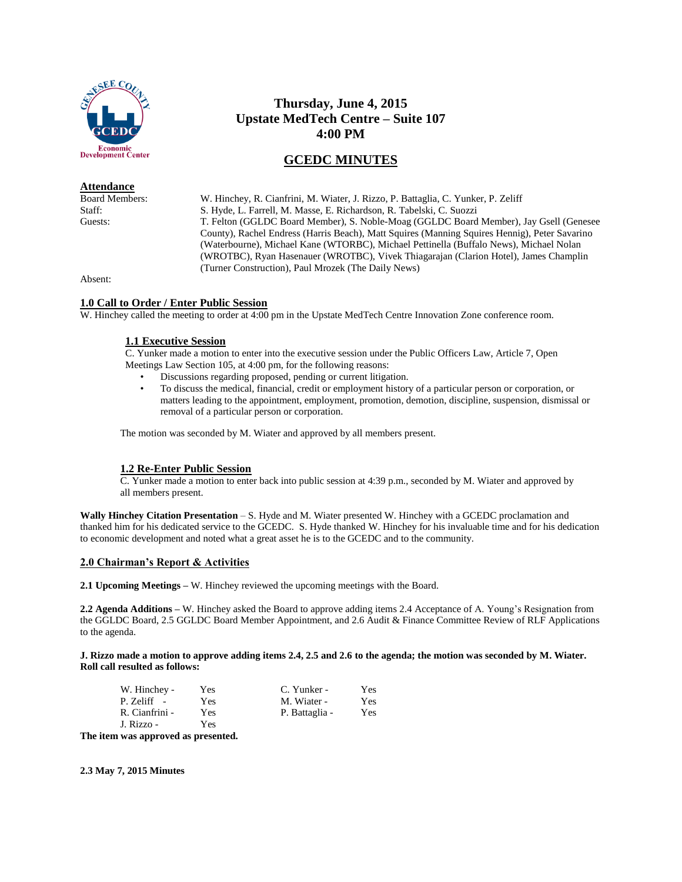

#### **Attendance**

# **Thursday, June 4, 2015 Upstate MedTech Centre – Suite 107 4:00 PM**

## **GCEDC MINUTES**

Board Members: W. Hinchey, R. Cianfrini, M. Wiater, J. Rizzo, P. Battaglia, C. Yunker, P. Zeliff Staff: S. Hyde, L. Farrell, M. Masse, E. Richardson, R. Tabelski, C. Suozzi<br>Guests: T. Felton (GGLDC Board Member). S. Noble-Moag (GGLDC Board T. Felton (GGLDC Board Member), S. Noble-Moag (GGLDC Board Member), Jay Gsell (Genesee County), Rachel Endress (Harris Beach), Matt Squires (Manning Squires Hennig), Peter Savarino (Waterbourne), Michael Kane (WTORBC), Michael Pettinella (Buffalo News), Michael Nolan (WROTBC), Ryan Hasenauer (WROTBC), Vivek Thiagarajan (Clarion Hotel), James Champlin (Turner Construction), Paul Mrozek (The Daily News)

Absent:

## **1.0 Call to Order / Enter Public Session**

W. Hinchey called the meeting to order at 4:00 pm in the Upstate MedTech Centre Innovation Zone conference room.

#### **1.1 Executive Session**

C. Yunker made a motion to enter into the executive session under the Public Officers Law, Article 7, Open Meetings Law Section 105, at 4:00 pm, for the following reasons:

- Discussions regarding proposed, pending or current litigation.
- To discuss the medical, financial, credit or employment history of a particular person or corporation, or matters leading to the appointment, employment, promotion, demotion, discipline, suspension, dismissal or removal of a particular person or corporation.

The motion was seconded by M. Wiater and approved by all members present.

## **1.2 Re-Enter Public Session**

C. Yunker made a motion to enter back into public session at 4:39 p.m., seconded by M. Wiater and approved by all members present.

**Wally Hinchey Citation Presentation** – S. Hyde and M. Wiater presented W. Hinchey with a GCEDC proclamation and thanked him for his dedicated service to the GCEDC. S. Hyde thanked W. Hinchey for his invaluable time and for his dedication to economic development and noted what a great asset he is to the GCEDC and to the community.

## **2.0 Chairman's Report & Activities**

**2.1 Upcoming Meetings –** W. Hinchey reviewed the upcoming meetings with the Board.

**2.2 Agenda Additions –** W. Hinchey asked the Board to approve adding items 2.4 Acceptance of A. Young's Resignation from the GGLDC Board, 2.5 GGLDC Board Member Appointment, and 2.6 Audit & Finance Committee Review of RLF Applications to the agenda.

**J. Rizzo made a motion to approve adding items 2.4, 2.5 and 2.6 to the agenda; the motion was seconded by M. Wiater. Roll call resulted as follows:**

| Yes | C. Yunker -    | <b>Yes</b> |
|-----|----------------|------------|
| Yes | M. Wiater -    | Yes        |
| Yes | P. Battaglia - | Yes        |
| Yes |                |            |
|     |                |            |

**The item was approved as presented.**

**2.3 May 7, 2015 Minutes**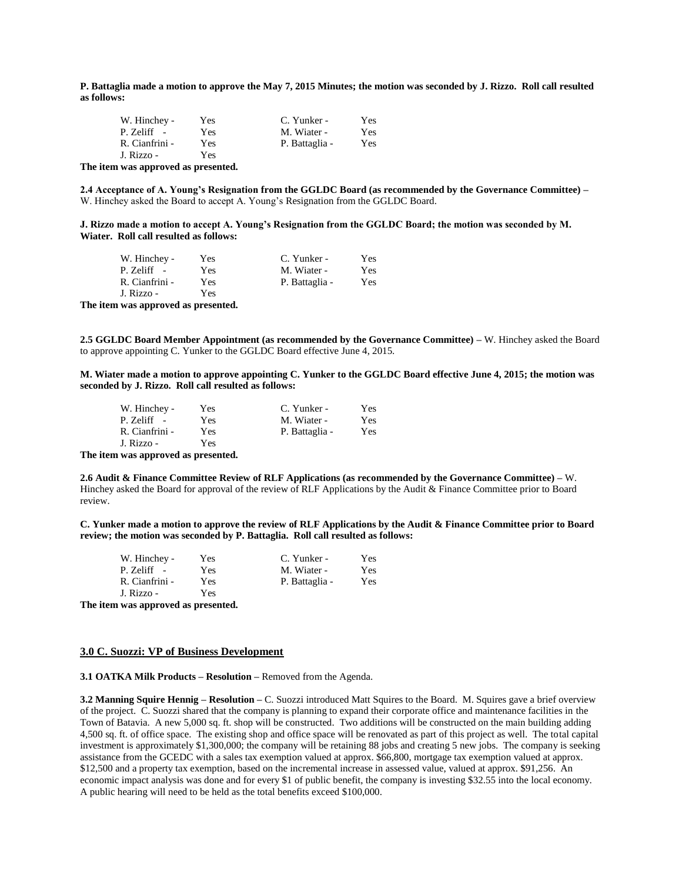**P. Battaglia made a motion to approve the May 7, 2015 Minutes; the motion was seconded by J. Rizzo. Roll call resulted as follows:**

| W. Hinchey -   | Yes        | C. Yunker -    | Yes |
|----------------|------------|----------------|-----|
| $P. Zeliff -$  | Yes        | M. Wiater -    | Yes |
| R. Cianfrini - | <b>Yes</b> | P. Battaglia - | Yes |
| J. Rizzo -     | Yes        |                |     |

**The item was approved as presented.**

**2.4 Acceptance of A. Young's Resignation from the GGLDC Board (as recommended by the Governance Committee) –** W. Hinchey asked the Board to accept A. Young's Resignation from the GGLDC Board.

**J. Rizzo made a motion to accept A. Young's Resignation from the GGLDC Board; the motion was seconded by M. Wiater. Roll call resulted as follows:**

| W. Hinchey -   | Yes | C. Yunker -    | Yes. |
|----------------|-----|----------------|------|
| $P. Zeliff -$  | Yes | M. Wiater -    | Yes  |
| R. Cianfrini - | Yes | P. Battaglia - | Yes  |
| J. Rizzo -     | Yes |                |      |

**The item was approved as presented.**

**2.5 GGLDC Board Member Appointment (as recommended by the Governance Committee) –** W. Hinchey asked the Board to approve appointing C. Yunker to the GGLDC Board effective June 4, 2015.

**M. Wiater made a motion to approve appointing C. Yunker to the GGLDC Board effective June 4, 2015; the motion was seconded by J. Rizzo. Roll call resulted as follows:**

| W. Hinchey -   | Yes | C. Yunker -    | <b>Yes</b> |
|----------------|-----|----------------|------------|
| $P. Zeliff -$  | Yes | M. Wiater -    | Yes        |
| R. Cianfrini - | Yes | P. Battaglia - | Yes        |
| J. Rizzo -     | Yes |                |            |

**The item was approved as presented.**

**2.6 Audit & Finance Committee Review of RLF Applications (as recommended by the Governance Committee) –** W. Hinchey asked the Board for approval of the review of RLF Applications by the Audit & Finance Committee prior to Board review.

**C. Yunker made a motion to approve the review of RLF Applications by the Audit & Finance Committee prior to Board review; the motion was seconded by P. Battaglia. Roll call resulted as follows:**

| W. Hinchey -   | Yes | C. Yunker -    | Yes |
|----------------|-----|----------------|-----|
| $P. Zeliff -$  | Yes | M. Wiater -    | Yes |
| R. Cianfrini - | Yes | P. Battaglia - | Yes |
| J. Rizzo -     | Yes |                |     |

**The item was approved as presented.**

#### **3.0 C. Suozzi: VP of Business Development**

**3.1 OATKA Milk Products – Resolution –** Removed from the Agenda.

**3.2 Manning Squire Hennig – Resolution –** C. Suozzi introduced Matt Squires to the Board. M. Squires gave a brief overview of the project. C. Suozzi shared that the company is planning to expand their corporate office and maintenance facilities in the Town of Batavia. A new 5,000 sq. ft. shop will be constructed. Two additions will be constructed on the main building adding 4,500 sq. ft. of office space. The existing shop and office space will be renovated as part of this project as well. The total capital investment is approximately \$1,300,000; the company will be retaining 88 jobs and creating 5 new jobs. The company is seeking assistance from the GCEDC with a sales tax exemption valued at approx. \$66,800, mortgage tax exemption valued at approx. \$12,500 and a property tax exemption, based on the incremental increase in assessed value, valued at approx. \$91,256. An economic impact analysis was done and for every \$1 of public benefit, the company is investing \$32.55 into the local economy. A public hearing will need to be held as the total benefits exceed \$100,000.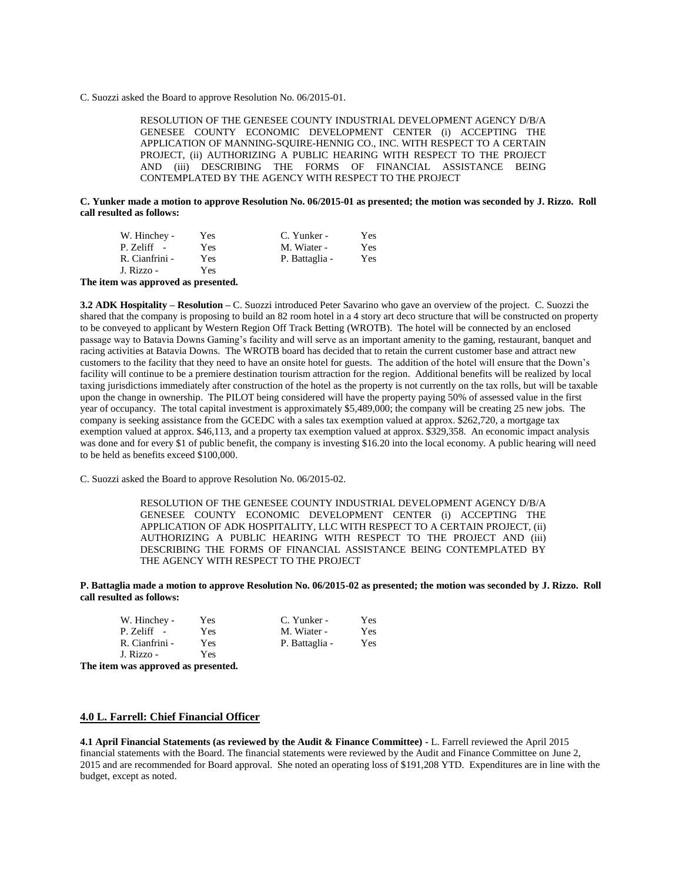C. Suozzi asked the Board to approve Resolution No. 06/2015-01.

RESOLUTION OF THE GENESEE COUNTY INDUSTRIAL DEVELOPMENT AGENCY D/B/A GENESEE COUNTY ECONOMIC DEVELOPMENT CENTER (i) ACCEPTING THE APPLICATION OF MANNING-SQUIRE-HENNIG CO., INC. WITH RESPECT TO A CERTAIN PROJECT, (ii) AUTHORIZING A PUBLIC HEARING WITH RESPECT TO THE PROJECT AND (iii) DESCRIBING THE FORMS OF FINANCIAL ASSISTANCE BEING CONTEMPLATED BY THE AGENCY WITH RESPECT TO THE PROJECT

**C. Yunker made a motion to approve Resolution No. 06/2015-01 as presented; the motion was seconded by J. Rizzo. Roll call resulted as follows:**

| W. Hinchey -   | Yes | C. Yunker -    | Yes. |
|----------------|-----|----------------|------|
| $P. Zeliff -$  | Yes | M. Wiater -    | Yes  |
| R. Cianfrini - | Yes | P. Battaglia - | Yes  |
| J. Rizzo -     | Yes |                |      |

**The item was approved as presented.**

**3.2 ADK Hospitality – Resolution –** C. Suozzi introduced Peter Savarino who gave an overview of the project. C. Suozzi the shared that the company is proposing to build an 82 room hotel in a 4 story art deco structure that will be constructed on property to be conveyed to applicant by Western Region Off Track Betting (WROTB). The hotel will be connected by an enclosed passage way to Batavia Downs Gaming's facility and will serve as an important amenity to the gaming, restaurant, banquet and racing activities at Batavia Downs. The WROTB board has decided that to retain the current customer base and attract new customers to the facility that they need to have an onsite hotel for guests. The addition of the hotel will ensure that the Down's facility will continue to be a premiere destination tourism attraction for the region. Additional benefits will be realized by local taxing jurisdictions immediately after construction of the hotel as the property is not currently on the tax rolls, but will be taxable upon the change in ownership. The PILOT being considered will have the property paying 50% of assessed value in the first year of occupancy. The total capital investment is approximately \$5,489,000; the company will be creating 25 new jobs. The company is seeking assistance from the GCEDC with a sales tax exemption valued at approx. \$262,720, a mortgage tax exemption valued at approx. \$46,113, and a property tax exemption valued at approx. \$329,358. An economic impact analysis was done and for every \$1 of public benefit, the company is investing \$16.20 into the local economy. A public hearing will need to be held as benefits exceed \$100,000.

C. Suozzi asked the Board to approve Resolution No. 06/2015-02.

RESOLUTION OF THE GENESEE COUNTY INDUSTRIAL DEVELOPMENT AGENCY D/B/A GENESEE COUNTY ECONOMIC DEVELOPMENT CENTER (i) ACCEPTING THE APPLICATION OF ADK HOSPITALITY, LLC WITH RESPECT TO A CERTAIN PROJECT, (ii) AUTHORIZING A PUBLIC HEARING WITH RESPECT TO THE PROJECT AND (iii) DESCRIBING THE FORMS OF FINANCIAL ASSISTANCE BEING CONTEMPLATED BY THE AGENCY WITH RESPECT TO THE PROJECT

**P. Battaglia made a motion to approve Resolution No. 06/2015-02 as presented; the motion was seconded by J. Rizzo. Roll call resulted as follows:**

| W. Hinchey -                           | Yes | C. Yunker -    | Yes |
|----------------------------------------|-----|----------------|-----|
| P. Zeliff -                            | Yes | M. Wiater -    | Yes |
| R. Cianfrini -                         | Yes | P. Battaglia - | Yes |
| J. Rizzo -                             | Yes |                |     |
| The field case and annual as measuried |     |                |     |

**The item was approved as presented.**

#### **4.0 L. Farrell: Chief Financial Officer**

**4.1 April Financial Statements (as reviewed by the Audit & Finance Committee) -** L. Farrell reviewed the April 2015 financial statements with the Board. The financial statements were reviewed by the Audit and Finance Committee on June 2, 2015 and are recommended for Board approval. She noted an operating loss of \$191,208 YTD. Expenditures are in line with the budget, except as noted.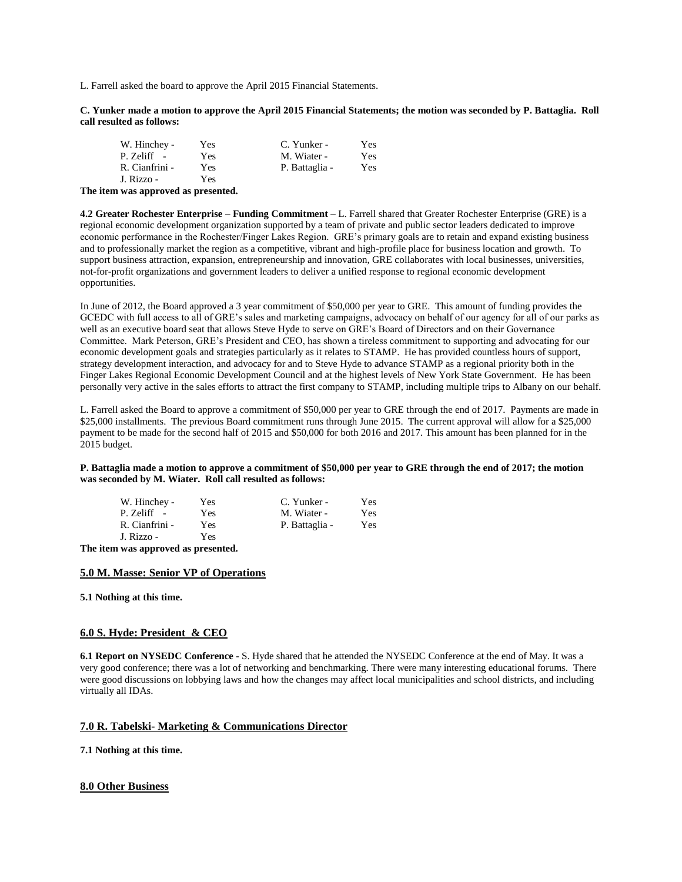L. Farrell asked the board to approve the April 2015 Financial Statements.

**C. Yunker made a motion to approve the April 2015 Financial Statements; the motion was seconded by P. Battaglia. Roll call resulted as follows:**

| W. Hinchey -   | Yes | C. Yunker -    | <b>Yes</b> |
|----------------|-----|----------------|------------|
| P. Zeliff -    | Yes | M. Wiater -    | Yes        |
| R. Cianfrini - | Yes | P. Battaglia - | Yes        |
| J. Rizzo -     | Yes |                |            |

**The item was approved as presented.**

**4.2 Greater Rochester Enterprise – Funding Commitment –** L. Farrell shared that Greater Rochester Enterprise (GRE) is a regional economic development organization supported by a team of private and public sector leaders dedicated to improve economic performance in the Rochester/Finger Lakes Region. GRE's primary goals are to retain and expand existing business and to professionally market the region as a competitive, vibrant and high-profile place for business location and growth. To support business attraction, expansion, entrepreneurship and innovation, GRE collaborates with local businesses, universities, not-for-profit organizations and government leaders to deliver a unified response to regional economic development opportunities.

In June of 2012, the Board approved a 3 year commitment of \$50,000 per year to GRE. This amount of funding provides the GCEDC with full access to all of GRE's sales and marketing campaigns, advocacy on behalf of our agency for all of our parks as well as an executive board seat that allows Steve Hyde to serve on GRE's Board of Directors and on their Governance Committee. Mark Peterson, GRE's President and CEO, has shown a tireless commitment to supporting and advocating for our economic development goals and strategies particularly as it relates to STAMP. He has provided countless hours of support, strategy development interaction, and advocacy for and to Steve Hyde to advance STAMP as a regional priority both in the Finger Lakes Regional Economic Development Council and at the highest levels of New York State Government. He has been personally very active in the sales efforts to attract the first company to STAMP, including multiple trips to Albany on our behalf.

L. Farrell asked the Board to approve a commitment of \$50,000 per year to GRE through the end of 2017. Payments are made in \$25,000 installments. The previous Board commitment runs through June 2015. The current approval will allow for a \$25,000 payment to be made for the second half of 2015 and \$50,000 for both 2016 and 2017. This amount has been planned for in the 2015 budget.

**P. Battaglia made a motion to approve a commitment of \$50,000 per year to GRE through the end of 2017; the motion was seconded by M. Wiater. Roll call resulted as follows:**

| W. Hinchey -   | Yes | C. Yunker -    | Yes |
|----------------|-----|----------------|-----|
| P. Zeliff -    | Yes | M. Wiater -    | Yes |
| R. Cianfrini - | Yes | P. Battaglia - | Yes |
| J. Rizzo -     | Yes |                |     |

**The item was approved as presented.**

#### **5.0 M. Masse: Senior VP of Operations**

**5.1 Nothing at this time.** 

#### **6.0 S. Hyde: President & CEO**

**6.1 Report on NYSEDC Conference -** S. Hyde shared that he attended the NYSEDC Conference at the end of May. It was a very good conference; there was a lot of networking and benchmarking. There were many interesting educational forums. There were good discussions on lobbying laws and how the changes may affect local municipalities and school districts, and including virtually all IDAs.

#### **7.0 R. Tabelski- Marketing & Communications Director**

**7.1 Nothing at this time.**

#### **8.0 Other Business**